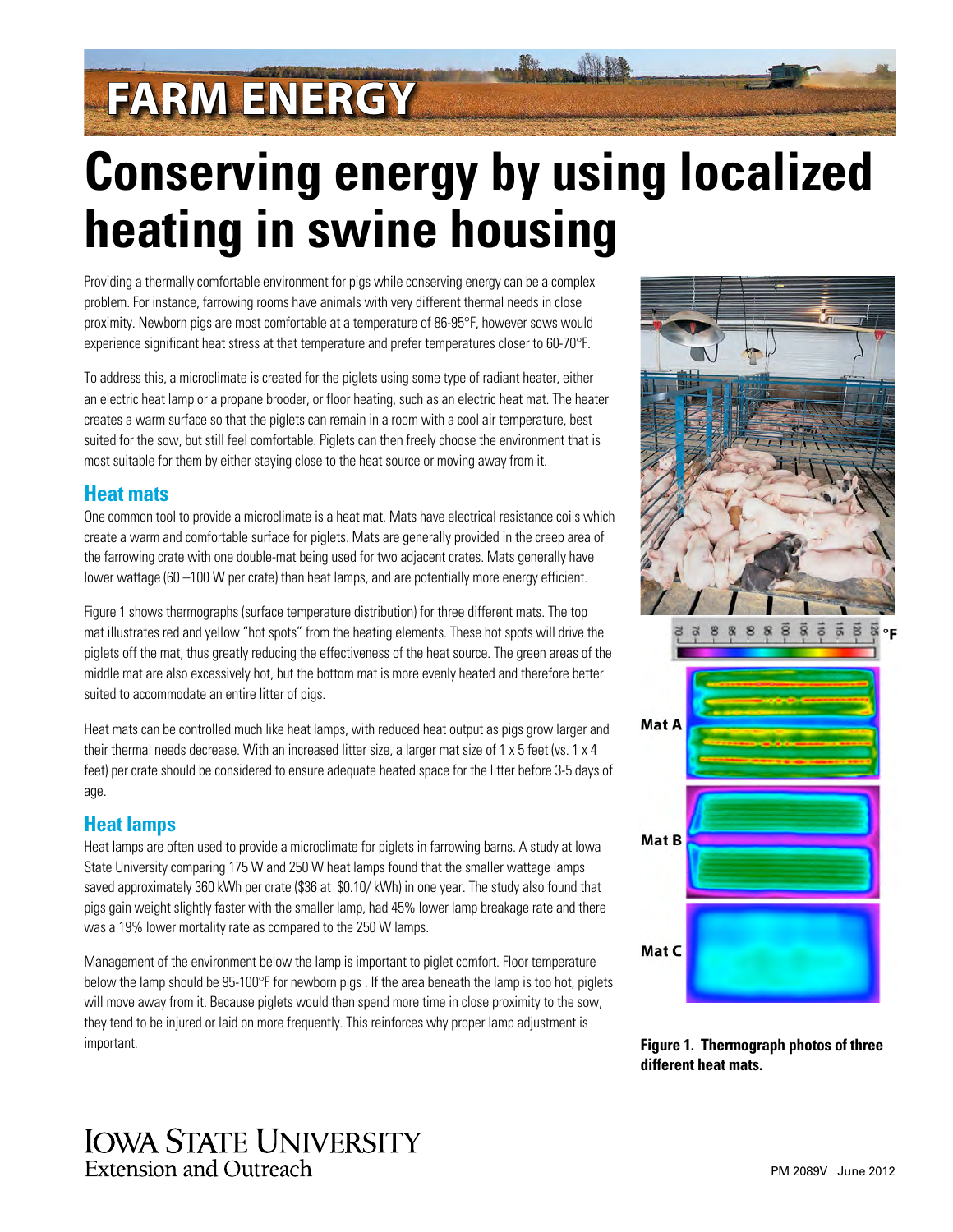# **FARM ENERGY**

# **Conserving energy by using localized heating in swine housing**

Providing a thermally comfortable environment for pigs while conserving energy can be a complex problem. For instance, farrowing rooms have animals with very different thermal needs in close proximity. Newborn pigs are most comfortable at a temperature of 86-95°F, however sows would experience significant heat stress at that temperature and prefer temperatures closer to 60-70°F.

To address this, a microclimate is created for the piglets using some type of radiant heater, either an electric heat lamp or a propane brooder, or floor heating, such as an electric heat mat. The heater creates a warm surface so that the piglets can remain in a room with a cool air temperature, best suited for the sow, but still feel comfortable. Piglets can then freely choose the environment that is most suitable for them by either staying close to the heat source or moving away from it.

## **Heat mats**

One common tool to provide a microclimate is a heat mat. Mats have electrical resistance coils which create a warm and comfortable surface for piglets. Mats are generally provided in the creep area of the farrowing crate with one double-mat being used for two adjacent crates. Mats generally have lower wattage (60 –100 W per crate) than heat lamps, and are potentially more energy efficient.

Figure 1 shows thermographs (surface temperature distribution) for three different mats. The top mat illustrates red and yellow "hot spots" from the heating elements. These hot spots will drive the piglets off the mat, thus greatly reducing the effectiveness of the heat source. The green areas of the middle mat are also excessively hot, but the bottom mat is more evenly heated and therefore better suited to accommodate an entire litter of pigs.

Heat mats can be controlled much like heat lamps, with reduced heat output as pigs grow larger and their thermal needs decrease. With an increased litter size, a larger mat size of 1 x 5 feet (vs. 1 x 4 feet) per crate should be considered to ensure adequate heated space for the litter before 3-5 days of age.

## **Heat lamps**

Heat lamps are often used to provide a microclimate for piglets in farrowing barns. A study at Iowa State University comparing 175 W and 250 W heat lamps found that the smaller wattage lamps saved approximately 360 kWh per crate (\$36 at \$0.10/ kWh) in one year. The study also found that pigs gain weight slightly faster with the smaller lamp, had 45% lower lamp breakage rate and there was a 19% lower mortality rate as compared to the 250 W lamps.

Management of the environment below the lamp is important to piglet comfort. Floor temperature below the lamp should be 95-100°F for newborn pigs . If the area beneath the lamp is too hot, piglets will move away from it. Because piglets would then spend more time in close proximity to the sow, they tend to be injured or laid on more frequently. This reinforces why proper lamp adjustment is important. **Figure 1. Thermograph photos of three** 



**different heat mats.**

## **IOWA STATE UNIVERSITY** Extension and Outreach